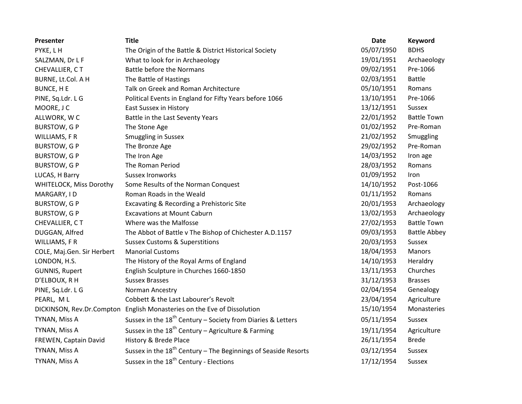| Presenter                      | <b>Title</b>                                                            | Date       | <b>Keyword</b>      |
|--------------------------------|-------------------------------------------------------------------------|------------|---------------------|
| PYKE, LH                       | The Origin of the Battle & District Historical Society                  | 05/07/1950 | <b>BDHS</b>         |
| SALZMAN, Dr L F                | What to look for in Archaeology                                         | 19/01/1951 | Archaeology         |
| CHEVALLIER, CT                 | <b>Battle before the Normans</b>                                        | 09/02/1951 | Pre-1066            |
| BURNE, Lt.Col. A H             | The Battle of Hastings                                                  | 02/03/1951 | <b>Battle</b>       |
| <b>BUNCE, HE</b>               | Talk on Greek and Roman Architecture                                    | 05/10/1951 | Romans              |
| PINE, Sq.Ldr. L G              | Political Events in England for Fifty Years before 1066                 | 13/10/1951 | Pre-1066            |
| MOORE, J C                     | <b>East Sussex in History</b>                                           | 13/12/1951 | Sussex              |
| ALLWORK, WC                    | Battle in the Last Seventy Years                                        | 22/01/1952 | <b>Battle Town</b>  |
| <b>BURSTOW, GP</b>             | The Stone Age                                                           | 01/02/1952 | Pre-Roman           |
| WILLIAMS, FR                   | <b>Smuggling in Sussex</b>                                              | 21/02/1952 | Smuggling           |
| <b>BURSTOW, GP</b>             | The Bronze Age                                                          | 29/02/1952 | Pre-Roman           |
| <b>BURSTOW, GP</b>             | The Iron Age                                                            | 14/03/1952 | Iron age            |
| <b>BURSTOW, GP</b>             | The Roman Period                                                        | 28/03/1952 | Romans              |
| LUCAS, H Barry                 | <b>Sussex Ironworks</b>                                                 | 01/09/1952 | Iron                |
| <b>WHITELOCK, Miss Dorothy</b> | Some Results of the Norman Conquest                                     | 14/10/1952 | Post-1066           |
| MARGARY, ID                    | Roman Roads in the Weald                                                | 01/11/1952 | Romans              |
| <b>BURSTOW, GP</b>             | Excavating & Recording a Prehistoric Site                               | 20/01/1953 | Archaeology         |
| <b>BURSTOW, GP</b>             | <b>Excavations at Mount Caburn</b>                                      | 13/02/1953 | Archaeology         |
| CHEVALLIER, CT                 | Where was the Malfosse                                                  | 27/02/1953 | <b>Battle Town</b>  |
| DUGGAN, Alfred                 | The Abbot of Battle v The Bishop of Chichester A.D.1157                 | 09/03/1953 | <b>Battle Abbey</b> |
| WILLIAMS, FR                   | <b>Sussex Customs &amp; Superstitions</b>                               | 20/03/1953 | Sussex              |
| COLE, Maj.Gen. Sir Herbert     | <b>Manorial Customs</b>                                                 | 18/04/1953 | Manors              |
| LONDON, H.S.                   | The History of the Royal Arms of England                                | 14/10/1953 | Heraldry            |
| <b>GUNNIS, Rupert</b>          | English Sculpture in Churches 1660-1850                                 | 13/11/1953 | Churches            |
| D'ELBOUX, R H                  | <b>Sussex Brasses</b>                                                   | 31/12/1953 | <b>Brasses</b>      |
| PINE, Sq.Ldr. L G              | Norman Ancestry                                                         | 02/04/1954 | Genealogy           |
| PEARL, ML                      | Cobbett & the Last Labourer's Revolt                                    | 23/04/1954 | Agriculture         |
| DICKINSON, Rev.Dr.Compton      | English Monasteries on the Eve of Dissolution                           | 15/10/1954 | Monasteries         |
| TYNAN, Miss A                  | Sussex in the 18 <sup>th</sup> Century - Society from Diaries & Letters | 05/11/1954 | Sussex              |
| TYNAN, Miss A                  | Sussex in the $18^{th}$ Century – Agriculture & Farming                 | 19/11/1954 | Agriculture         |
| FREWEN, Captain David          | History & Brede Place                                                   | 26/11/1954 | <b>Brede</b>        |
| TYNAN, Miss A                  | Sussex in the $18th$ Century – The Beginnings of Seaside Resorts        | 03/12/1954 | Sussex              |
| TYNAN, Miss A                  | Sussex in the 18 <sup>th</sup> Century - Elections                      | 17/12/1954 | Sussex              |
|                                |                                                                         |            |                     |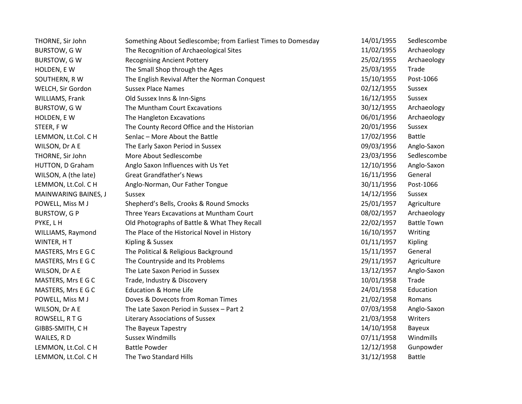| THORNE, Sir John     | Something About Sedlescombe; from Earliest Times to Domesday | 14/01/1955 | Sedlescombe        |
|----------------------|--------------------------------------------------------------|------------|--------------------|
| <b>BURSTOW, GW</b>   | The Recognition of Archaeological Sites                      | 11/02/1955 | Archaeology        |
| <b>BURSTOW, GW</b>   | <b>Recognising Ancient Pottery</b>                           | 25/02/1955 | Archaeology        |
| HOLDEN, E W          | The Small Shop through the Ages                              | 25/03/1955 | Trade              |
| SOUTHERN, R W        | The English Revival After the Norman Conquest                | 15/10/1955 | Post-1066          |
| WELCH, Sir Gordon    | <b>Sussex Place Names</b>                                    | 02/12/1955 | Sussex             |
| WILLIAMS, Frank      | Old Sussex Inns & Inn-Signs                                  | 16/12/1955 | Sussex             |
| <b>BURSTOW, GW</b>   | The Muntham Court Excavations                                | 30/12/1955 | Archaeology        |
| HOLDEN, E W          | The Hangleton Excavations                                    | 06/01/1956 | Archaeology        |
| STEER, FW            | The County Record Office and the Historian                   | 20/01/1956 | Sussex             |
| LEMMON, Lt.Col. C H  | Senlac - More About the Battle                               | 17/02/1956 | <b>Battle</b>      |
| WILSON, Dr A E       | The Early Saxon Period in Sussex                             | 09/03/1956 | Anglo-Saxon        |
| THORNE, Sir John     | More About Sedlescombe                                       | 23/03/1956 | Sedlescombe        |
| HUTTON, D Graham     | Anglo Saxon Influences with Us Yet                           | 12/10/1956 | Anglo-Saxon        |
| WILSON, A (the late) | <b>Great Grandfather's News</b>                              | 16/11/1956 | General            |
| LEMMON, Lt.Col. C H  | Anglo-Norman, Our Father Tongue                              | 30/11/1956 | Post-1066          |
| MAINWARING BAINES, J | Sussex                                                       | 14/12/1956 | Sussex             |
| POWELL, Miss M J     | Shepherd's Bells, Crooks & Round Smocks                      | 25/01/1957 | Agriculture        |
| <b>BURSTOW, GP</b>   | Three Years Excavations at Muntham Court                     | 08/02/1957 | Archaeology        |
| PYKE, LH             | Old Photographs of Battle & What They Recall                 | 22/02/1957 | <b>Battle Town</b> |
| WILLIAMS, Raymond    | The Place of the Historical Novel in History                 | 16/10/1957 | Writing            |
| WINTER, HT           | Kipling & Sussex                                             | 01/11/1957 | Kipling            |
| MASTERS, Mrs E G C   | The Political & Religious Background                         | 15/11/1957 | General            |
| MASTERS, Mrs E G C   | The Countryside and Its Problems                             | 29/11/1957 | Agriculture        |
| WILSON, Dr A E       | The Late Saxon Period in Sussex                              | 13/12/1957 | Anglo-Saxon        |
| MASTERS, Mrs E G C   | Trade, Industry & Discovery                                  | 10/01/1958 | Trade              |
| MASTERS, Mrs E G C   | <b>Education &amp; Home Life</b>                             | 24/01/1958 | Education          |
| POWELL, Miss M J     | Doves & Dovecots from Roman Times                            | 21/02/1958 | Romans             |
| WILSON, Dr A E       | The Late Saxon Period in Sussex - Part 2                     | 07/03/1958 | Anglo-Saxon        |
| ROWSELL, RTG         | <b>Literary Associations of Sussex</b>                       | 21/03/1958 | Writers            |
| GIBBS-SMITH, CH      | The Bayeux Tapestry                                          | 14/10/1958 | Bayeux             |
| WAILES, RD           | <b>Sussex Windmills</b>                                      | 07/11/1958 | Windmills          |
| LEMMON, Lt.Col. C H  | <b>Battle Powder</b>                                         | 12/12/1958 | Gunpowder          |
| LEMMON, Lt.Col. C H  | The Two Standard Hills                                       | 31/12/1958 | <b>Battle</b>      |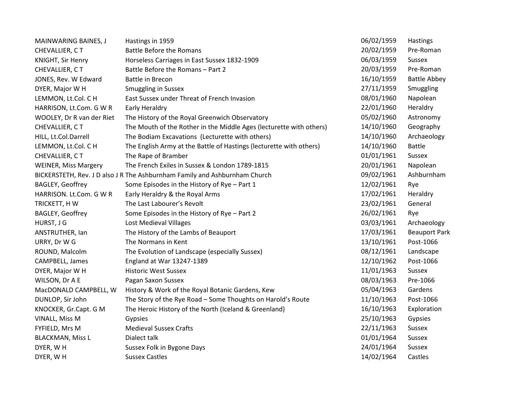| MAINWARING BAINES, J        | Hastings in 1959                                                           | 06/02/1959 | Hastings             |
|-----------------------------|----------------------------------------------------------------------------|------------|----------------------|
| CHEVALLIER, CT              | <b>Battle Before the Romans</b>                                            | 20/02/1959 | Pre-Roman            |
| KNIGHT, Sir Henry           | Horseless Carriages in East Sussex 1832-1909                               | 06/03/1959 | Sussex               |
| CHEVALLIER, CT              | Battle Before the Romans - Part 2                                          | 20/03/1959 | Pre-Roman            |
| JONES, Rev. W Edward        | <b>Battle in Brecon</b>                                                    | 16/10/1959 | <b>Battle Abbey</b>  |
| DYER, Major W H             | <b>Smuggling in Sussex</b>                                                 | 27/11/1959 | Smuggling            |
| LEMMON, Lt.Col. C H         | East Sussex under Threat of French Invasion                                | 08/01/1960 | Napolean             |
| HARRISON, Lt.Com. G W R     | <b>Early Heraldry</b>                                                      | 22/01/1960 | Heraldry             |
| WOOLEY, Dr R van der Riet   | The History of the Royal Greenwich Observatory                             | 05/02/1960 | Astronomy            |
| CHEVALLIER, CT              | The Mouth of the Rother in the Middle Ages (lecturette with others)        | 14/10/1960 | Geography            |
| HILL, Lt.Col.Darrell        | The Bodiam Excavations (Lecturette with others)                            | 14/10/1960 | Archaeology          |
| LEMMON, Lt.Col. C H         | The English Army at the Battle of Hastings (lecturette with others)        | 14/10/1960 | <b>Battle</b>        |
| CHEVALLIER, CT              | The Rape of Bramber                                                        | 01/01/1961 | <b>Sussex</b>        |
| <b>WEINER, Miss Margery</b> | The French Exiles in Sussex & London 1789-1815                             | 20/01/1961 | Napolean             |
|                             | BICKERSTETH, Rev. J D also J R The Ashburnham Family and Ashburnham Church | 09/02/1961 | Ashburnham           |
| BAGLEY, Geoffrey            | Some Episodes in the History of Rye - Part 1                               | 12/02/1961 | Rye                  |
| HARRISON. Lt.Com. G W R     | Early Heraldry & the Royal Arms                                            | 17/02/1961 | Heraldry             |
| TRICKETT, HW                | The Last Labourer's Revolt                                                 | 23/02/1961 | General              |
| BAGLEY, Geoffrey            | Some Episodes in the History of Rye - Part 2                               | 26/02/1961 | Rye                  |
| HURST, J G                  | <b>Lost Medieval Villages</b>                                              | 03/03/1961 | Archaeology          |
| ANSTRUTHER, Ian             | The History of the Lambs of Beauport                                       | 17/03/1961 | <b>Beauport Park</b> |
| URRY, Dr W G                | The Normans in Kent                                                        | 13/10/1961 | Post-1066            |
| ROUND, Malcolm              | The Evolution of Landscape (especially Sussex)                             | 08/12/1961 | Landscape            |
| CAMPBELL, James             | England at War 13247-1389                                                  | 12/10/1962 | Post-1066            |
| DYER, Major W H             | <b>Historic West Sussex</b>                                                | 11/01/1963 | Sussex               |
| WILSON, Dr A E              | Pagan Saxon Sussex                                                         | 08/03/1963 | Pre-1066             |
| MacDONALD CAMPBELL, W       | History & Work of the Royal Botanic Gardens, Kew                           | 05/04/1963 | Gardens              |
| DUNLOP, Sir John            | The Story of the Rye Road - Some Thoughts on Harold's Route                | 11/10/1963 | Post-1066            |
| KNOCKER, Gr.Capt. G M       | The Heroic History of the North (Iceland & Greenland)                      | 16/10/1963 | Exploration          |
| VINALL, Miss M              | Gypsies                                                                    | 25/10/1963 | Gypsies              |
| FYFIELD, Mrs M              | <b>Medieval Sussex Crafts</b>                                              | 22/11/1963 | Sussex               |
| <b>BLACKMAN, Miss L</b>     | Dialect talk                                                               | 01/01/1964 | Sussex               |
| DYER, WH                    | Sussex Folk in Bygone Days                                                 | 24/01/1964 | Sussex               |
| DYER, WH                    | <b>Sussex Castles</b>                                                      | 14/02/1964 | Castles              |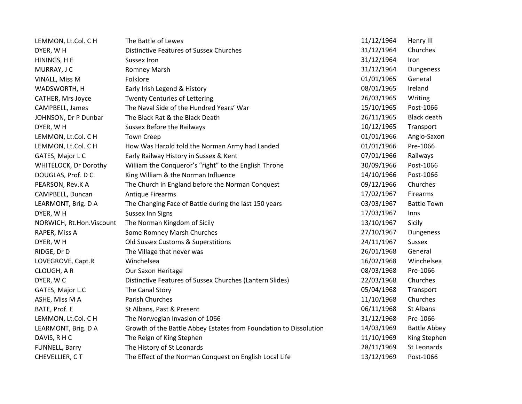| LEMMON, Lt.Col. C H          | The Battle of Lewes                                               | 11/12/1964 | Henry III           |
|------------------------------|-------------------------------------------------------------------|------------|---------------------|
| DYER, WH                     | <b>Distinctive Features of Sussex Churches</b>                    | 31/12/1964 | Churches            |
| HININGS, H E                 | <b>Sussex Iron</b>                                                | 31/12/1964 | Iron                |
| MURRAY, J C                  | <b>Romney Marsh</b>                                               | 31/12/1964 | Dungeness           |
| VINALL, Miss M               | Folklore                                                          | 01/01/1965 | General             |
| WADSWORTH, H                 | Early Irish Legend & History                                      | 08/01/1965 | Ireland             |
| <b>CATHER, Mrs Joyce</b>     | <b>Twenty Centuries of Lettering</b>                              | 26/03/1965 | Writing             |
| CAMPBELL, James              | The Naval Side of the Hundred Years' War                          | 15/10/1965 | Post-1066           |
| JOHNSON, Dr P Dunbar         | The Black Rat & the Black Death                                   | 26/11/1965 | <b>Black death</b>  |
| DYER, WH                     | <b>Sussex Before the Railways</b>                                 | 10/12/1965 | Transport           |
| LEMMON, Lt.Col. C H          | <b>Town Creep</b>                                                 | 01/01/1966 | Anglo-Saxon         |
| LEMMON, Lt.Col. C H          | How Was Harold told the Norman Army had Landed                    | 01/01/1966 | Pre-1066            |
| GATES, Major L C             | Early Railway History in Sussex & Kent                            | 07/01/1966 | Railways            |
| <b>WHITELOCK, Dr Dorothy</b> | William the Conqueror's "right" to the English Throne             | 30/09/1966 | Post-1066           |
| DOUGLAS, Prof. D C           | King William & the Norman Influence                               | 14/10/1966 | Post-1066           |
| PEARSON, Rev.K A             | The Church in England before the Norman Conquest                  | 09/12/1966 | Churches            |
| CAMPBELL, Duncan             | <b>Antique Firearms</b>                                           | 17/02/1967 | Firearms            |
| LEARMONT, Brig. D A          | The Changing Face of Battle during the last 150 years             | 03/03/1967 | <b>Battle Town</b>  |
| DYER, WH                     | <b>Sussex Inn Signs</b>                                           | 17/03/1967 | <b>Inns</b>         |
| NORWICH, Rt.Hon.Viscount     | The Norman Kingdom of Sicily                                      | 13/10/1967 | Sicily              |
| RAPER, Miss A                | Some Romney Marsh Churches                                        | 27/10/1967 | Dungeness           |
| DYER, WH                     | Old Sussex Customs & Superstitions                                | 24/11/1967 | Sussex              |
| RIDGE, Dr D                  | The Village that never was                                        | 26/01/1968 | General             |
| LOVEGROVE, Capt.R            | Winchelsea                                                        | 16/02/1968 | Winchelsea          |
| CLOUGH, AR                   | Our Saxon Heritage                                                | 08/03/1968 | Pre-1066            |
| DYER, WC                     | Distinctive Features of Sussex Churches (Lantern Slides)          | 22/03/1968 | Churches            |
| GATES, Major L.C             | The Canal Story                                                   | 05/04/1968 | Transport           |
| ASHE, Miss M A               | Parish Churches                                                   | 11/10/1968 | Churches            |
| BATE, Prof. E                | St Albans, Past & Present                                         | 06/11/1968 | St Albans           |
| LEMMON, Lt.Col. C H          | The Norwegian Invasion of 1066                                    | 31/12/1968 | Pre-1066            |
| LEARMONT, Brig. D A          | Growth of the Battle Abbey Estates from Foundation to Dissolution | 14/03/1969 | <b>Battle Abbey</b> |
| DAVIS, RHC                   | The Reign of King Stephen                                         | 11/10/1969 | King Stephen        |
| FUNNELL, Barry               | The History of St Leonards                                        | 28/11/1969 | St Leonards         |
| CHEVELLIER, CT               | The Effect of the Norman Conquest on English Local Life           | 13/12/1969 | Post-1066           |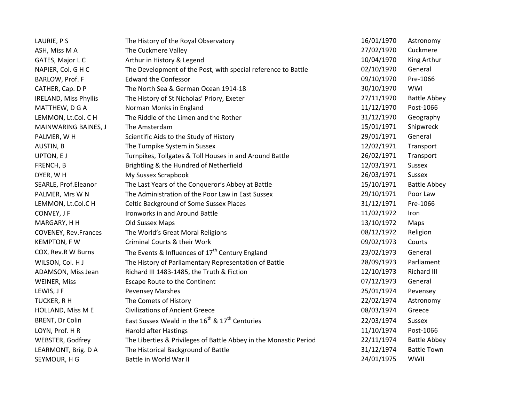| LAURIE, PS                   | The History of the Royal Observatory                                   | 16/01/1970 | Astronomy           |
|------------------------------|------------------------------------------------------------------------|------------|---------------------|
| ASH, Miss M A                | The Cuckmere Valley                                                    | 27/02/1970 | Cuckmere            |
| GATES, Major L C             | Arthur in History & Legend                                             | 10/04/1970 | King Arthur         |
| NAPIER, Col. G H C           | The Development of the Post, with special reference to Battle          | 02/10/1970 | General             |
| BARLOW, Prof. F              | <b>Edward the Confessor</b>                                            | 09/10/1970 | Pre-1066            |
| CATHER, Cap. D P             | The North Sea & German Ocean 1914-18                                   | 30/10/1970 | WWI                 |
| <b>IRELAND, Miss Phyllis</b> | The History of St Nicholas' Priory, Exeter                             | 27/11/1970 | <b>Battle Abbey</b> |
| MATTHEW, D G A               | Norman Monks in England                                                | 11/12/1970 | Post-1066           |
| LEMMON, Lt.Col. C H          | The Riddle of the Limen and the Rother                                 | 31/12/1970 | Geography           |
| MAINWARING BAINES, J         | The Amsterdam                                                          | 15/01/1971 | Shipwreck           |
| PALMER, WH                   | Scientific Aids to the Study of History                                | 29/01/1971 | General             |
| AUSTIN, B                    | The Turnpike System in Sussex                                          | 12/02/1971 | Transport           |
| UPTON, EJ                    | Turnpikes, Tollgates & Toll Houses in and Around Battle                | 26/02/1971 | Transport           |
| FRENCH, B                    | Brightling & the Hundred of Netherfield                                | 12/03/1971 | Sussex              |
| DYER, WH                     | My Sussex Scrapbook                                                    | 26/03/1971 | Sussex              |
| SEARLE, Prof.Eleanor         | The Last Years of the Conqueror's Abbey at Battle                      | 15/10/1971 | <b>Battle Abbey</b> |
| PALMER, Mrs W N              | The Administration of the Poor Law in East Sussex                      | 29/10/1971 | Poor Law            |
| LEMMON, Lt.Col.C H           | <b>Celtic Background of Some Sussex Places</b>                         | 31/12/1971 | Pre-1066            |
| CONVEY, J F                  | Ironworks in and Around Battle                                         | 11/02/1972 | Iron                |
| MARGARY, H H                 | Old Sussex Maps                                                        | 13/10/1972 | Maps                |
| COVENEY, Rev.Frances         | The World's Great Moral Religions                                      | 08/12/1972 | Religion            |
| <b>KEMPTON, FW</b>           | Criminal Courts & their Work                                           | 09/02/1973 | Courts              |
| COX, Rev.R W Burns           | The Events & Influences of 17 <sup>th</sup> Century England            | 23/02/1973 | General             |
| WILSON, Col. HJ              | The History of Parliamentary Representation of Battle                  | 28/09/1973 | Parliament          |
| ADAMSON, Miss Jean           | Richard III 1483-1485, the Truth & Fiction                             | 12/10/1973 | Richard III         |
| <b>WEINER, Miss</b>          | Escape Route to the Continent                                          | 07/12/1973 | General             |
| LEWIS, J F                   | <b>Pevensey Marshes</b>                                                | 25/01/1974 | Pevensey            |
| TUCKER, R H                  | The Comets of History                                                  | 22/02/1974 | Astronomy           |
| HOLLAND, Miss M E            | <b>Civilizations of Ancient Greece</b>                                 | 08/03/1974 | Greece              |
| BRENT, Dr Colin              | East Sussex Weald in the 16 <sup>th</sup> & 17 <sup>th</sup> Centuries | 22/03/1974 | Sussex              |
| LOYN, Prof. HR               | <b>Harold after Hastings</b>                                           | 11/10/1974 | Post-1066           |
| WEBSTER, Godfrey             | The Liberties & Privileges of Battle Abbey in the Monastic Period      | 22/11/1974 | <b>Battle Abbey</b> |
| LEARMONT, Brig. D A          | The Historical Background of Battle                                    | 31/12/1974 | <b>Battle Town</b>  |
| SEYMOUR, H G                 | Battle in World War II                                                 | 24/01/1975 | WWII                |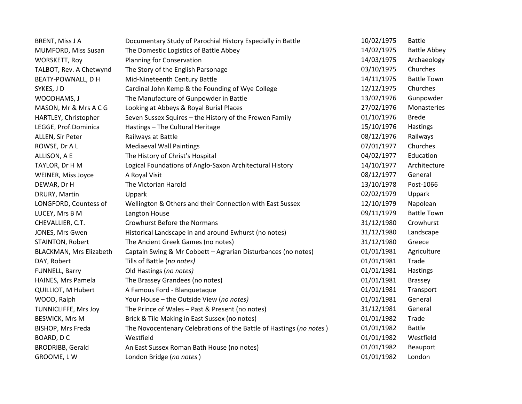| <b>BRENT, Miss J A</b>    | Documentary Study of Parochial History Especially in Battle         | 10/02/1975 | <b>Battle</b>       |
|---------------------------|---------------------------------------------------------------------|------------|---------------------|
| MUMFORD, Miss Susan       | The Domestic Logistics of Battle Abbey                              | 14/02/1975 | <b>Battle Abbey</b> |
| <b>WORSKETT, Roy</b>      | <b>Planning for Conservation</b>                                    | 14/03/1975 | Archaeology         |
| TALBOT, Rev. A Chetwynd   | The Story of the English Parsonage                                  | 03/10/1975 | Churches            |
| BEATY-POWNALL, D H        | Mid-Nineteenth Century Battle                                       | 14/11/1975 | <b>Battle Town</b>  |
| SYKES, JD                 | Cardinal John Kemp & the Founding of Wye College                    | 12/12/1975 | Churches            |
| WOODHAMS, J               | The Manufacture of Gunpowder in Battle                              | 13/02/1976 | Gunpowder           |
| MASON, Mr & Mrs A C G     | Looking at Abbeys & Royal Burial Places                             | 27/02/1976 | Monasteries         |
| HARTLEY, Christopher      | Seven Sussex Squires - the History of the Frewen Family             | 01/10/1976 | <b>Brede</b>        |
| LEGGE, Prof.Dominica      | Hastings - The Cultural Heritage                                    | 15/10/1976 | Hastings            |
| ALLEN, Sir Peter          | Railways at Battle                                                  | 08/12/1976 | Railways            |
| ROWSE, Dr A L             | <b>Mediaeval Wall Paintings</b>                                     | 07/01/1977 | Churches            |
| ALLISON, A E              | The History of Christ's Hospital                                    | 04/02/1977 | Education           |
| TAYLOR, Dr H M            | Logical Foundations of Anglo-Saxon Architectural History            | 14/10/1977 | Architecture        |
| WEINER, Miss Joyce        | A Royal Visit                                                       | 08/12/1977 | General             |
| DEWAR, Dr H               | The Victorian Harold                                                | 13/10/1978 | Post-1066           |
| DRURY, Martin             | Uppark                                                              | 02/02/1979 | Uppark              |
| LONGFORD, Countess of     | Wellington & Others and their Connection with East Sussex           | 12/10/1979 | Napolean            |
| LUCEY, Mrs B M            | Langton House                                                       | 09/11/1979 | <b>Battle Town</b>  |
| CHEVALLIER, C.T.          | <b>Crowhurst Before the Normans</b>                                 | 31/12/1980 | Crowhurst           |
| JONES, Mrs Gwen           | Historical Landscape in and around Ewhurst (no notes)               | 31/12/1980 | Landscape           |
| STAINTON, Robert          | The Ancient Greek Games (no notes)                                  | 31/12/1980 | Greece              |
| BLACKMAN, Mrs Elizabeth   | Captain Swing & Mr Cobbett - Agrarian Disturbances (no notes)       | 01/01/1981 | Agriculture         |
| DAY, Robert               | Tills of Battle (no notes)                                          | 01/01/1981 | Trade               |
| FUNNELL, Barry            | Old Hastings (no notes)                                             | 01/01/1981 | Hastings            |
| HAINES, Mrs Pamela        | The Brassey Grandees (no notes)                                     | 01/01/1981 | <b>Brassey</b>      |
| <b>QUILLIOT, M Hubert</b> | A Famous Ford - Blanquetaque                                        | 01/01/1981 | Transport           |
| WOOD, Ralph               | Your House - the Outside View (no notes)                            | 01/01/1981 | General             |
| TUNNICLIFFE, Mrs Joy      | The Prince of Wales - Past & Present (no notes)                     | 31/12/1981 | General             |
| <b>BESWICK, Mrs M</b>     | Brick & Tile Making in East Sussex (no notes)                       | 01/01/1982 | Trade               |
| BISHOP, Mrs Freda         | The Novocentenary Celebrations of the Battle of Hastings (no notes) | 01/01/1982 | <b>Battle</b>       |
| BOARD, DC                 | Westfield                                                           | 01/01/1982 | Westfield           |
| <b>BRODRIBB, Gerald</b>   | An East Sussex Roman Bath House (no notes)                          | 01/01/1982 | Beauport            |
| GROOME, LW                | London Bridge (no notes)                                            | 01/01/1982 | London              |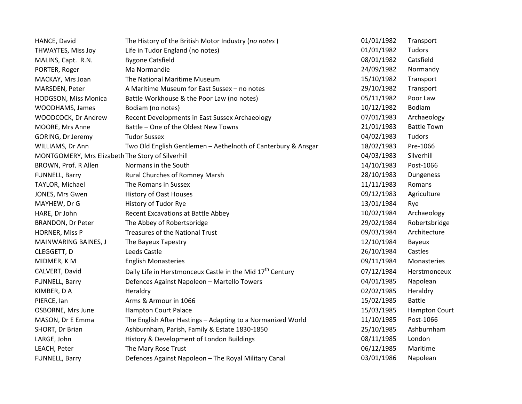| HANCE, David                                      | The History of the British Motor Industry (no notes)                  | 01/01/1982 | Transport            |
|---------------------------------------------------|-----------------------------------------------------------------------|------------|----------------------|
| THWAYTES, Miss Joy                                | Life in Tudor England (no notes)                                      | 01/01/1982 | Tudors               |
| MALINS, Capt. R.N.                                | <b>Bygone Catsfield</b>                                               | 08/01/1982 | Catsfield            |
| PORTER, Roger                                     | Ma Normandie                                                          | 24/09/1982 | Normandy             |
| MACKAY, Mrs Joan                                  | The National Maritime Museum                                          | 15/10/1982 | Transport            |
| MARSDEN, Peter                                    | A Maritime Museum for East Sussex - no notes                          | 29/10/1982 | Transport            |
| HODGSON, Miss Monica                              | Battle Workhouse & the Poor Law (no notes)                            | 05/11/1982 | Poor Law             |
| WOODHAMS, James                                   | Bodiam (no notes)                                                     | 10/12/1982 | <b>Bodiam</b>        |
| WOODCOCK, Dr Andrew                               | Recent Developments in East Sussex Archaeology                        | 07/01/1983 | Archaeology          |
| MOORE, Mrs Anne                                   | Battle - One of the Oldest New Towns                                  | 21/01/1983 | <b>Battle Town</b>   |
| GORING, Dr Jeremy                                 | <b>Tudor Sussex</b>                                                   | 04/02/1983 | Tudors               |
| WILLIAMS, Dr Ann                                  | Two Old English Gentlemen - Aethelnoth of Canterbury & Ansgar         | 18/02/1983 | Pre-1066             |
| MONTGOMERY, Mrs Elizabeth The Story of Silverhill |                                                                       | 04/03/1983 | Silverhill           |
| BROWN, Prof. R Allen                              | Normans in the South                                                  | 14/10/1983 | Post-1066            |
| FUNNELL, Barry                                    | Rural Churches of Romney Marsh                                        | 28/10/1983 | Dungeness            |
| TAYLOR, Michael                                   | The Romans in Sussex                                                  | 11/11/1983 | Romans               |
| JONES, Mrs Gwen                                   | <b>History of Oast Houses</b>                                         | 09/12/1983 | Agriculture          |
| MAYHEW, Dr G                                      | History of Tudor Rye                                                  | 13/01/1984 | Rye                  |
| HARE, Dr John                                     | <b>Recent Excavations at Battle Abbey</b>                             | 10/02/1984 | Archaeology          |
| <b>BRANDON, Dr Peter</b>                          | The Abbey of Robertsbridge                                            | 29/02/1984 | Robertsbridge        |
| HORNER, Miss P                                    | <b>Treasures of the National Trust</b>                                | 09/03/1984 | Architecture         |
| MAINWARING BAINES, J                              | The Bayeux Tapestry                                                   | 12/10/1984 | Bayeux               |
| CLEGGETT, D                                       | Leeds Castle                                                          | 26/10/1984 | Castles              |
| MIDMER, KM                                        | <b>English Monasteries</b>                                            | 09/11/1984 | Monasteries          |
| CALVERT, David                                    | Daily Life in Herstmonceux Castle in the Mid 17 <sup>th</sup> Century | 07/12/1984 | Herstmonceux         |
| FUNNELL, Barry                                    | Defences Against Napoleon - Martello Towers                           | 04/01/1985 | Napolean             |
| KIMBER, DA                                        | Heraldry                                                              | 02/02/1985 | Heraldry             |
| PIERCE, Ian                                       | Arms & Armour in 1066                                                 | 15/02/1985 | <b>Battle</b>        |
| OSBORNE, Mrs June                                 | <b>Hampton Court Palace</b>                                           | 15/03/1985 | <b>Hampton Court</b> |
| MASON, Dr E Emma                                  | The English After Hastings - Adapting to a Normanized World           | 11/10/1985 | Post-1066            |
| SHORT, Dr Brian                                   | Ashburnham, Parish, Family & Estate 1830-1850                         | 25/10/1985 | Ashburnham           |
| LARGE, John                                       | History & Development of London Buildings                             | 08/11/1985 | London               |
| LEACH, Peter                                      | The Mary Rose Trust                                                   | 06/12/1985 | Maritime             |
| FUNNELL, Barry                                    | Defences Against Napoleon - The Royal Military Canal                  | 03/01/1986 | Napolean             |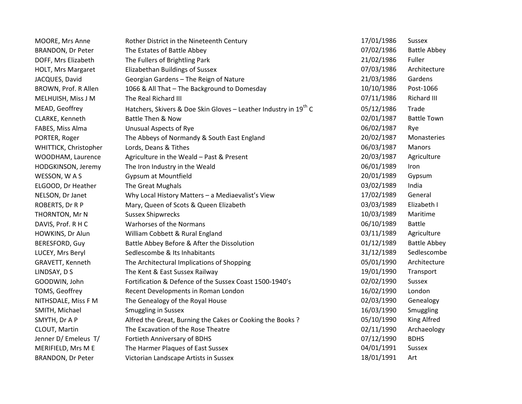| MOORE, Mrs Anne          | Rother District in the Nineteenth Century                                    | 17/01/1986 | <b>Sussex</b>       |
|--------------------------|------------------------------------------------------------------------------|------------|---------------------|
| <b>BRANDON, Dr Peter</b> | The Estates of Battle Abbey                                                  | 07/02/1986 | <b>Battle Abbey</b> |
| DOFF, Mrs Elizabeth      | The Fullers of Brightling Park                                               | 21/02/1986 | Fuller              |
| HOLT, Mrs Margaret       | Elizabethan Buildings of Sussex                                              | 07/03/1986 | Architecture        |
| JACQUES, David           | Georgian Gardens - The Reign of Nature                                       | 21/03/1986 | Gardens             |
| BROWN, Prof. R Allen     | 1066 & All That - The Background to Domesday                                 | 10/10/1986 | Post-1066           |
| MELHUISH, Miss J M       | The Real Richard III                                                         | 07/11/1986 | Richard III         |
| MEAD, Geoffrey           | Hatchers, Skivers & Doe Skin Gloves - Leather Industry in 19 <sup>th</sup> C | 05/12/1986 | Trade               |
| CLARKE, Kenneth          | <b>Battle Then &amp; Now</b>                                                 | 02/01/1987 | <b>Battle Town</b>  |
| FABES, Miss Alma         | <b>Unusual Aspects of Rye</b>                                                | 06/02/1987 | Rye                 |
| PORTER, Roger            | The Abbeys of Normandy & South East England                                  | 20/02/1987 | Monasteries         |
| WHITTICK, Christopher    | Lords, Deans & Tithes                                                        | 06/03/1987 | Manors              |
| WOODHAM, Laurence        | Agriculture in the Weald - Past & Present                                    | 20/03/1987 | Agriculture         |
| HODGKINSON, Jeremy       | The Iron Industry in the Weald                                               | 06/01/1989 | Iron                |
| WESSON, WAS              | <b>Gypsum at Mountfield</b>                                                  | 20/01/1989 | Gypsum              |
| ELGOOD, Dr Heather       | The Great Mughals                                                            | 03/02/1989 | India               |
| NELSON, Dr Janet         | Why Local History Matters - a Mediaevalist's View                            | 17/02/1989 | General             |
| ROBERTS, Dr R P          | Mary, Queen of Scots & Queen Elizabeth                                       | 03/03/1989 | Elizabeth I         |
| THORNTON, Mr N           | <b>Sussex Shipwrecks</b>                                                     | 10/03/1989 | Maritime            |
| DAVIS, Prof. R H C       | Warhorses of the Normans                                                     | 06/10/1989 | <b>Battle</b>       |
| HOWKINS, Dr Alun         | William Cobbett & Rural England                                              | 03/11/1989 | Agriculture         |
| <b>BERESFORD, Guy</b>    | Battle Abbey Before & After the Dissolution                                  | 01/12/1989 | <b>Battle Abbey</b> |
| LUCEY, Mrs Beryl         | Sedlescombe & Its Inhabitants                                                | 31/12/1989 | Sedlescombe         |
| GRAVETT, Kenneth         | The Architectural Implications of Shopping                                   | 05/01/1990 | Architecture        |
| LINDSAY, D S             | The Kent & East Sussex Railway                                               | 19/01/1990 | Transport           |
| GOODWIN, John            | Fortification & Defence of the Sussex Coast 1500-1940's                      | 02/02/1990 | <b>Sussex</b>       |
| TOMS, Geoffrey           | Recent Developments in Roman London                                          | 16/02/1990 | London              |
| NITHSDALE, Miss F M      | The Genealogy of the Royal House                                             | 02/03/1990 | Genealogy           |
| SMITH, Michael           | <b>Smuggling in Sussex</b>                                                   | 16/03/1990 | Smuggling           |
| SMYTH, Dr A P            | Alfred the Great, Burning the Cakes or Cooking the Books?                    | 05/10/1990 | King Alfred         |
| CLOUT, Martin            | The Excavation of the Rose Theatre                                           | 02/11/1990 | Archaeology         |
| Jenner D/ Emeleus T/     | Fortieth Anniversary of BDHS                                                 | 07/12/1990 | <b>BDHS</b>         |
| MERIFIELD, Mrs M E       | The Harmer Plaques of East Sussex                                            | 04/01/1991 | Sussex              |
| <b>BRANDON, Dr Peter</b> | Victorian Landscape Artists in Sussex                                        | 18/01/1991 | Art                 |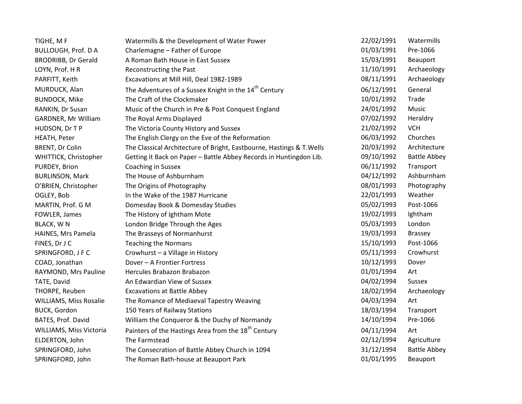| TIGHE, M F                    | Watermills & the Development of Water Power                           | 22/02/1991 | Watermills          |
|-------------------------------|-----------------------------------------------------------------------|------------|---------------------|
| <b>BULLOUGH, Prof. D A</b>    | Charlemagne - Father of Europe                                        | 01/03/1991 | Pre-1066            |
| <b>BRODRIBB, Dr Gerald</b>    | A Roman Bath House in East Sussex                                     | 15/03/1991 | Beauport            |
| LOYN, Prof. H R               | Reconstructing the Past                                               | 11/10/1991 | Archaeology         |
| PARFITT, Keith                | Excavations at Mill Hill, Deal 1982-1989                              | 08/11/1991 | Archaeology         |
| MURDUCK, Alan                 | The Adventures of a Sussex Knight in the 14 <sup>th</sup> Century     | 06/12/1991 | General             |
| <b>BUNDOCK, Mike</b>          | The Craft of the Clockmaker                                           | 10/01/1992 | Trade               |
| RANKIN, Dr Susan              | Music of the Church in Pre & Post Conquest England                    | 24/01/1992 | Music               |
| GARDNER, Mr William           | The Royal Arms Displayed                                              | 07/02/1992 | Heraldry            |
| HUDSON, Dr T P                | The Victoria County History and Sussex                                | 21/02/1992 | <b>VCH</b>          |
| HEATH, Peter                  | The English Clergy on the Eve of the Reformation                      | 06/03/1992 | Churches            |
| <b>BRENT, Dr Colin</b>        | The Classical Architecture of Bright, Eastbourne, Hastings & T. Wells | 20/03/1992 | Architecture        |
| WHITTICK, Christopher         | Getting it Back on Paper - Battle Abbey Records in Huntingdon Lib.    | 09/10/1992 | <b>Battle Abbey</b> |
| PURDEY, Brion                 | Coaching in Sussex                                                    | 06/11/1992 | Transport           |
| <b>BURLINSON, Mark</b>        | The House of Ashburnham                                               | 04/12/1992 | Ashburnham          |
| O'BRIEN, Christopher          | The Origins of Photography                                            | 08/01/1993 | Photography         |
| OGLEY, Bob                    | In the Wake of the 1987 Hurricane                                     | 22/01/1993 | Weather             |
| MARTIN, Prof. G M             | Domesday Book & Domesday Studies                                      | 05/02/1993 | Post-1066           |
| FOWLER, James                 | The History of Ightham Mote                                           | 19/02/1993 | Ightham             |
| <b>BLACK, WN</b>              | London Bridge Through the Ages                                        | 05/03/1993 | London              |
| HAINES, Mrs Pamela            | The Brasseys of Normanhurst                                           | 19/03/1993 | <b>Brassey</b>      |
| FINES, Dr J C                 | <b>Teaching the Normans</b>                                           | 15/10/1993 | Post-1066           |
| SPRINGFORD, J F C             | Crowhurst - a Village in History                                      | 05/11/1993 | Crowhurst           |
| COAD, Jonathan                | Dover - A Frontier Fortress                                           | 10/12/1993 | Dover               |
| RAYMOND, Mrs Pauline          | Hercules Brabazon Brabazon                                            | 01/01/1994 | Art                 |
| TATE, David                   | An Edwardian View of Sussex                                           | 04/02/1994 | Sussex              |
| THORPE, Reuben                | <b>Excavations at Battle Abbey</b>                                    | 18/02/1994 | Archaeology         |
| <b>WILLIAMS, Miss Rosalie</b> | The Romance of Mediaeval Tapestry Weaving                             | 04/03/1994 | Art                 |
| <b>BUCK, Gordon</b>           | 150 Years of Railway Stations                                         | 18/03/1994 | Transport           |
| BATES, Prof. David            | William the Conqueror & the Duchy of Normandy                         | 14/10/1994 | Pre-1066            |
| WILLIAMS, Miss Victoria       | Painters of the Hastings Area from the 18 <sup>th</sup> Century       | 04/11/1994 | Art                 |
| ELDERTON, John                | The Farmstead                                                         | 02/12/1994 | Agriculture         |
| SPRINGFORD, John              | The Consecration of Battle Abbey Church in 1094                       | 31/12/1994 | <b>Battle Abbey</b> |
| SPRINGFORD, John              | The Roman Bath-house at Beauport Park                                 | 01/01/1995 | Beauport            |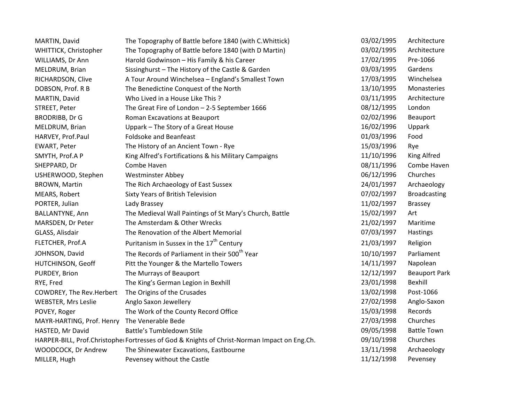| MARTIN, David              | The Topography of Battle before 1840 (with C. Whittick)                                      | 03/02/1995 | Architecture         |
|----------------------------|----------------------------------------------------------------------------------------------|------------|----------------------|
| WHITTICK, Christopher      | The Topography of Battle before 1840 (with D Martin)                                         | 03/02/1995 | Architecture         |
| WILLIAMS, Dr Ann           | Harold Godwinson - His Family & his Career                                                   | 17/02/1995 | Pre-1066             |
| MELDRUM, Brian             | Sissinghurst - The History of the Castle & Garden                                            | 03/03/1995 | Gardens              |
| RICHARDSON, Clive          | A Tour Around Winchelsea - England's Smallest Town                                           | 17/03/1995 | Winchelsea           |
| DOBSON, Prof. R B          | The Benedictine Conquest of the North                                                        | 13/10/1995 | Monasteries          |
| MARTIN, David              | Who Lived in a House Like This?                                                              | 03/11/1995 | Architecture         |
| STREET, Peter              | The Great Fire of London - 2-5 September 1666                                                | 08/12/1995 | London               |
| <b>BRODRIBB, Dr G</b>      | Roman Excavations at Beauport                                                                | 02/02/1996 | Beauport             |
| MELDRUM, Brian             | Uppark - The Story of a Great House                                                          | 16/02/1996 | Uppark               |
| HARVEY, Prof.Paul          | <b>Foldsoke and Beanfeast</b>                                                                | 01/03/1996 | Food                 |
| <b>EWART, Peter</b>        | The History of an Ancient Town - Rye                                                         | 15/03/1996 | Rye                  |
| SMYTH, Prof.A P            | King Alfred's Fortifications & his Military Campaigns                                        | 11/10/1996 | King Alfred          |
| SHEPPARD, Dr               | Combe Haven                                                                                  | 08/11/1996 | Combe Haven          |
| USHERWOOD, Stephen         | <b>Westminster Abbey</b>                                                                     | 06/12/1996 | Churches             |
| BROWN, Martin              | The Rich Archaeology of East Sussex                                                          | 24/01/1997 | Archaeology          |
| MEARS, Robert              | Sixty Years of British Television                                                            | 07/02/1997 | <b>Broadcasting</b>  |
| PORTER, Julian             | Lady Brassey                                                                                 | 11/02/1997 | <b>Brassey</b>       |
| BALLANTYNE, Ann            | The Medieval Wall Paintings of St Mary's Church, Battle                                      | 15/02/1997 | Art                  |
| MARSDEN, Dr Peter          | The Amsterdam & Other Wrecks                                                                 | 21/02/1997 | Maritime             |
| GLASS, Alisdair            | The Renovation of the Albert Memorial                                                        | 07/03/1997 | Hastings             |
| FLETCHER, Prof.A           | Puritanism in Sussex in the 17 <sup>th</sup> Century                                         | 21/03/1997 | Religion             |
| JOHNSON, David             | The Records of Parliament in their 500 <sup>th</sup> Year                                    | 10/10/1997 | Parliament           |
| HUTCHINSON, Geoff          | Pitt the Younger & the Martello Towers                                                       | 14/11/1997 | Napolean             |
| PURDEY, Brion              | The Murrays of Beauport                                                                      | 12/12/1997 | <b>Beauport Park</b> |
| RYE, Fred                  | The King's German Legion in Bexhill                                                          | 23/01/1998 | Bexhill              |
| COWDREY, The Rev.Herbert   | The Origins of the Crusades                                                                  | 13/02/1998 | Post-1066            |
| <b>WEBSTER, Mrs Leslie</b> | Anglo Saxon Jewellery                                                                        | 27/02/1998 | Anglo-Saxon          |
| POVEY, Roger               | The Work of the County Record Office                                                         | 15/03/1998 | Records              |
| MAYR-HARTING, Prof. Henry  | The Venerable Bede                                                                           | 27/03/1998 | Churches             |
| HASTED, Mr David           | <b>Battle's Tumbledown Stile</b>                                                             | 09/05/1998 | <b>Battle Town</b>   |
|                            | HARPER-BILL, Prof.Christopher Fortresses of God & Knights of Christ-Norman Impact on Eng.Ch. | 09/10/1998 | Churches             |
| WOODCOCK, Dr Andrew        | The Shinewater Excavations, Eastbourne                                                       | 13/11/1998 | Archaeology          |
| MILLER, Hugh               | Pevensey without the Castle                                                                  | 11/12/1998 | Pevensey             |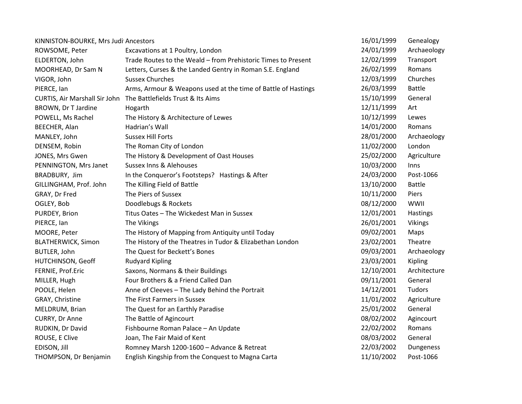| KINNISTON-BOURKE, Mrs Judi Ancestors |                                                               | 16/01/1999 | Genealogy     |
|--------------------------------------|---------------------------------------------------------------|------------|---------------|
| ROWSOME, Peter                       | Excavations at 1 Poultry, London                              | 24/01/1999 | Archaeology   |
| ELDERTON, John                       | Trade Routes to the Weald - from Prehistoric Times to Present | 12/02/1999 | Transport     |
| MOORHEAD, Dr Sam N                   | Letters, Curses & the Landed Gentry in Roman S.E. England     | 26/02/1999 | Romans        |
| VIGOR, John                          | <b>Sussex Churches</b>                                        | 12/03/1999 | Churches      |
| PIERCE, Ian                          | Arms, Armour & Weapons used at the time of Battle of Hastings | 26/03/1999 | <b>Battle</b> |
| CURTIS, Air Marshall Sir John        | The Battlefields Trust & Its Aims                             | 15/10/1999 | General       |
| BROWN, Dr T Jardine                  | Hogarth                                                       | 12/11/1999 | Art           |
| POWELL, Ms Rachel                    | The History & Architecture of Lewes                           | 10/12/1999 | Lewes         |
| BEECHER, Alan                        | Hadrian's Wall                                                | 14/01/2000 | Romans        |
| MANLEY, John                         | <b>Sussex Hill Forts</b>                                      | 28/01/2000 | Archaeology   |
| DENSEM, Robin                        | The Roman City of London                                      | 11/02/2000 | London        |
| JONES, Mrs Gwen                      | The History & Development of Oast Houses                      | 25/02/2000 | Agriculture   |
| PENNINGTON, Mrs Janet                | <b>Sussex Inns &amp; Alehouses</b>                            | 10/03/2000 | Inns          |
| BRADBURY, Jim                        | In the Conqueror's Footsteps? Hastings & After                | 24/03/2000 | Post-1066     |
| GILLINGHAM, Prof. John               | The Killing Field of Battle                                   | 13/10/2000 | <b>Battle</b> |
| GRAY, Dr Fred                        | The Piers of Sussex                                           | 10/11/2000 | Piers         |
| OGLEY, Bob                           | Doodlebugs & Rockets                                          | 08/12/2000 | WWII          |
| PURDEY, Brion                        | Titus Oates - The Wickedest Man in Sussex                     | 12/01/2001 | Hastings      |
| PIERCE, Ian                          | The Vikings                                                   | 26/01/2001 | Vikings       |
| MOORE, Peter                         | The History of Mapping from Antiquity until Today             | 09/02/2001 | Maps          |
| <b>BLATHERWICK, Simon</b>            | The History of the Theatres in Tudor & Elizabethan London     | 23/02/2001 | Theatre       |
| BUTLER, John                         | The Quest for Beckett's Bones                                 | 09/03/2001 | Archaeology   |
| HUTCHINSON, Geoff                    | <b>Rudyard Kipling</b>                                        | 23/03/2001 | Kipling       |
| FERNIE, Prof.Eric                    | Saxons, Normans & their Buildings                             | 12/10/2001 | Architecture  |
| MILLER, Hugh                         | Four Brothers & a Friend Called Dan                           | 09/11/2001 | General       |
| POOLE, Helen                         | Anne of Cleeves - The Lady Behind the Portrait                | 14/12/2001 | Tudors        |
| GRAY, Christine                      | The First Farmers in Sussex                                   | 11/01/2002 | Agriculture   |
| MELDRUM, Brian                       | The Quest for an Earthly Paradise                             | 25/01/2002 | General       |
| CURRY, Dr Anne                       | The Battle of Agincourt                                       | 08/02/2002 | Agincourt     |
| RUDKIN, Dr David                     | Fishbourne Roman Palace - An Update                           | 22/02/2002 | Romans        |
| ROUSE, E Clive                       | Joan, The Fair Maid of Kent                                   | 08/03/2002 | General       |
| EDISON, Jill                         | Romney Marsh 1200-1600 - Advance & Retreat                    | 22/03/2002 | Dungeness     |
| THOMPSON, Dr Benjamin                | English Kingship from the Conquest to Magna Carta             | 11/10/2002 | Post-1066     |
|                                      |                                                               |            |               |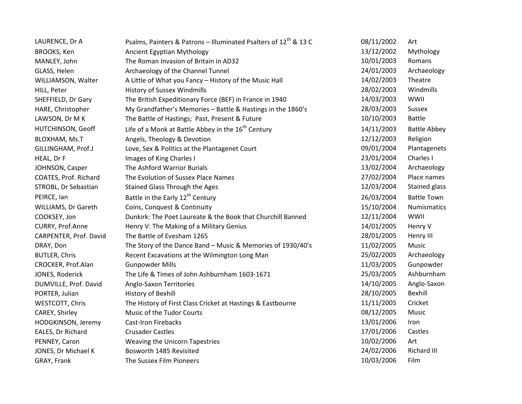| LAURENCE, Dr A         | Psalms, Painters & Patrons – Illuminated Psalters of $12^{m}$ & 13 C | 08/11/2002 | Art                 |
|------------------------|----------------------------------------------------------------------|------------|---------------------|
| BROOKS, Ken            | Ancient Egyptian Mythology                                           | 13/12/2002 | Mythology           |
| MANLEY, John           | The Roman Invasion of Britain in AD32                                | 10/01/2003 | Romans              |
| GLASS, Helen           | Archaeology of the Channel Tunnel                                    | 24/01/2003 | Archaeology         |
| WILLIAMSON, Walter     | A Little of What you Fancy - History of the Music Hall               | 14/02/2003 | Theatre             |
| HILL, Peter            | History of Sussex Windmills                                          | 28/02/2003 | Windmills           |
| SHEFFIELD, Dr Gary     | The British Expeditionary Force (BEF) in France in 1940              | 14/03/2003 | WWII                |
| HARE, Christopher      | My Grandfather's Memories - Battle & Hastings in the 1860's          | 28/03/2003 | Sussex              |
| LAWSON, Dr M K         | The Battle of Hastings; Past, Present & Future                       | 10/10/2003 | <b>Battle</b>       |
| HUTCHINSON, Geoff      | Life of a Monk at Battle Abbey in the 16 <sup>th</sup> Century       | 14/11/2003 | <b>Battle Abbey</b> |
| BLOXHAM, Ms.T          | Angels, Theology & Devotion                                          | 12/12/2003 | Religion            |
| GILLINGHAM, Prof.J     | Love, Sex & Politics at the Plantagenet Court                        | 09/01/2004 | Plantagenets        |
| HEAL, Dr F             | Images of King Charles I                                             | 23/01/2004 | Charles I           |
| JOHNSON, Casper        | The Ashford Warrior Burials                                          | 13/02/2004 | Archaeology         |
| COATES, Prof. Richard  | The Evolution of Sussex Place Names                                  | 27/02/2004 | Place names         |
| STROBL, Dr Sebastian   | <b>Stained Glass Through the Ages</b>                                | 12/03/2004 | Stained glass       |
| PEIRCE, Ian            | Battle in the Early 12 <sup>th</sup> Century                         | 26/03/2004 | <b>Battle Town</b>  |
| WILLIAMS, Dr Gareth    | Coins, Conquest & Continuity                                         | 15/10/2004 | <b>Numismatics</b>  |
| COOKSEY, Jon           | Dunkirk: The Poet Laureate & the Book that Churchill Banned          | 12/11/2004 | WWII                |
| CURRY, Prof.Anne       | Henry V: The Making of a Military Genius                             | 14/01/2005 | Henry V             |
| CARPENTER, Prof. David | The Battle of Evesham 1265                                           | 28/01/2005 | Henry III           |
| DRAY, Don              | The Story of the Dance Band - Music & Memories of 1930/40's          | 11/02/2005 | Music               |
| <b>BUTLER, Chris</b>   | Recent Excavations at the Wilmington Long Man                        | 25/02/2005 | Archaeology         |
| CROCKER, Prof.Alan     | <b>Gunpowder Mills</b>                                               | 11/03/2005 | Gunpowder           |
| JONES, Roderick        | The Life & Times of John Ashburnham 1603-1671                        | 25/03/2005 | Ashburnham          |
| DUMVILLE, Prof. David  | Anglo-Saxon Territories                                              | 14/10/2005 | Anglo-Saxon         |
| PORTER, Julian         | History of Bexhill                                                   | 28/10/2005 | Bexhill             |
| WESTCOTT, Chris        | The History of First Class Cricket at Hastings & Eastbourne          | 11/11/2005 | Cricket             |
| CAREY, Shirley         | Music of the Tudor Courts                                            | 08/12/2005 | Music               |
| HODGKINSON, Jeremy     | <b>Cast-Iron Firebacks</b>                                           | 13/01/2006 | Iron                |
| EALES, Dr Richard      | <b>Crusader Castles</b>                                              | 17/01/2006 | Castles             |
| PENNEY, Caron          | Weaving the Unicorn Tapestries                                       | 10/02/2006 | Art                 |
| JONES, Dr Michael K    | Bosworth 1485 Revisited                                              | 24/02/2006 | Richard III         |
| GRAY, Frank            | The Sussex Film Pioneers                                             | 10/03/2006 | Film                |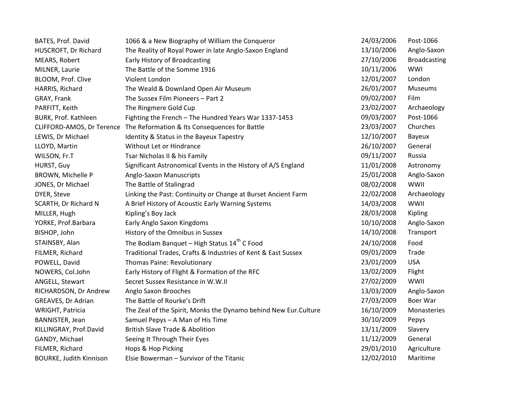| BATES, Prof. David             | 1066 & a New Biography of William the Conqueror                         | 24/03/2006 | Post-1066           |
|--------------------------------|-------------------------------------------------------------------------|------------|---------------------|
| HUSCROFT, Dr Richard           | The Reality of Royal Power in late Anglo-Saxon England                  | 13/10/2006 | Anglo-Saxon         |
| MEARS, Robert                  | Early History of Broadcasting                                           | 27/10/2006 | <b>Broadcasting</b> |
| MILNER, Laurie                 | The Battle of the Somme 1916                                            | 10/11/2006 | WWI                 |
| BLOOM, Prof. Clive             | Violent London                                                          | 12/01/2007 | London              |
| HARRIS, Richard                | The Weald & Downland Open Air Museum                                    | 26/01/2007 | Museums             |
| GRAY, Frank                    | The Sussex Film Pioneers - Part 2                                       | 09/02/2007 | Film                |
| PARFITT, Keith                 | The Ringmere Gold Cup                                                   | 23/02/2007 | Archaeology         |
| BURK, Prof. Kathleen           | Fighting the French - The Hundred Years War 1337-1453                   | 09/03/2007 | Post-1066           |
|                                | CLIFFORD-AMOS, Dr Terence The Reformation & Its Consequences for Battle | 23/03/2007 | Churches            |
| LEWIS, Dr Michael              | Identity & Status in the Bayeux Tapestry                                | 12/10/2007 | Bayeux              |
| LLOYD, Martin                  | Without Let or Hindrance                                                | 26/10/2007 | General             |
| WILSON, Fr.T                   | Tsar Nicholas II & his Family                                           | 09/11/2007 | Russia              |
| HURST, Guy                     | Significant Astronomical Events in the History of A/S England           | 11/01/2008 | Astronomy           |
| BROWN, Michelle P              | Anglo-Saxon Manuscripts                                                 | 25/01/2008 | Anglo-Saxon         |
| JONES, Dr Michael              | The Battle of Stalingrad                                                | 08/02/2008 | WWII                |
| DYER, Steve                    | Linking the Past: Continuity or Change at Burset Ancient Farm           | 22/02/2008 | Archaeology         |
| SCARTH, Dr Richard N           | A Brief History of Acoustic Early Warning Systems                       | 14/03/2008 | WWII                |
| MILLER, Hugh                   | Kipling's Boy Jack                                                      | 28/03/2008 | Kipling             |
| YORKE, Prof.Barbara            | Early Anglo Saxon Kingdoms                                              | 10/10/2008 | Anglo-Saxon         |
| BISHOP, John                   | History of the Omnibus in Sussex                                        | 14/10/2008 | Transport           |
| STAINSBY, Alan                 | The Bodiam Banquet - High Status $14th$ C Food                          | 24/10/2008 | Food                |
| FILMER, Richard                | Traditional Trades, Crafts & Industries of Kent & East Sussex           | 09/01/2009 | Trade               |
| POWELL, David                  | Thomas Paine: Revolutionary                                             | 23/01/2009 | <b>USA</b>          |
| NOWERS, Col.John               | Early History of Flight & Formation of the RFC                          | 13/02/2009 | Flight              |
| ANGELL, Stewart                | Secret Sussex Resistance in W.W.II                                      | 27/02/2009 | WWII                |
| RICHARDSON, Dr Andrew          | Anglo Saxon Brooches                                                    | 13/03/2009 | Anglo-Saxon         |
| GREAVES, Dr Adrian             | The Battle of Rourke's Drift                                            | 27/03/2009 | Boer War            |
| WRIGHT, Patricia               | The Zeal of the Spirit, Monks the Dynamo behind New Eur.Culture         | 16/10/2009 | Monasteries         |
| <b>BANNISTER, Jean</b>         | Samuel Pepys - A Man of His Time                                        | 30/10/2009 | Pepys               |
| KILLINGRAY, Prof.David         | <b>British Slave Trade &amp; Abolition</b>                              | 13/11/2009 | Slavery             |
| GANDY, Michael                 | Seeing It Through Their Eyes                                            | 11/12/2009 | General             |
| FILMER, Richard                | Hops & Hop Picking                                                      | 29/01/2010 | Agriculture         |
| <b>BOURKE, Judith Kinnison</b> | Elsie Bowerman - Survivor of the Titanic                                | 12/02/2010 | Maritime            |
|                                |                                                                         |            |                     |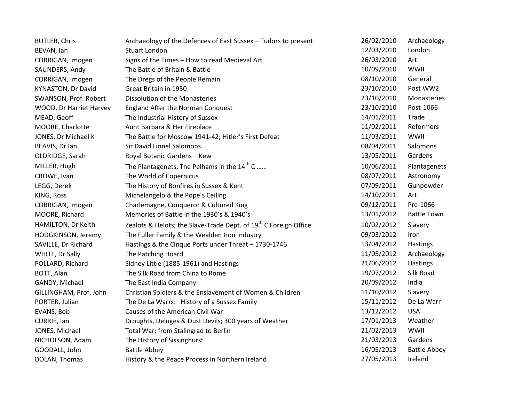| <b>BUTLER, Chris</b>    | Archaeology of the Defences of East Sussex - Tudors to present               | 26/02/2010 | Archaeology         |
|-------------------------|------------------------------------------------------------------------------|------------|---------------------|
| BEVAN, lan              | <b>Stuart London</b>                                                         | 12/03/2010 | London              |
| CORRIGAN, Imogen        | Signs of the Times - How to read Medieval Art                                | 26/03/2010 | Art                 |
| SAUNDERS, Andy          | The Battle of Britain & Battle                                               | 10/09/2010 | WWII                |
| CORRIGAN, Imogen        | The Dregs of the People Remain                                               | 08/10/2010 | General             |
| KYNASTON, Dr David      | Great Britain in 1950                                                        | 23/10/2010 | Post WW2            |
| SWANSON, Prof. Robert   | Dissolution of the Monasteries                                               | 23/10/2010 | Monasteries         |
| WOOD, Dr Harriet Harvey | <b>England After the Norman Conquest</b>                                     | 23/10/2010 | Post-1066           |
| MEAD, Geoff             | The Industrial History of Sussex                                             | 14/01/2011 | Trade               |
| MOORE, Charlotte        | Aunt Barbara & Her Fireplace                                                 | 11/02/2011 | Reformers           |
| JONES, Dr Michael K     | The Battle for Moscow 1941-42; Hitler's First Defeat                         | 11/03/2011 | WWII                |
| BEAVIS, Dr Ian          | <b>Sir David Lionel Salomons</b>                                             | 08/04/2011 | Salomons            |
| OLDRIDGE, Sarah         | Royal Botanic Gardens - Kew                                                  | 13/05/2011 | Gardens             |
| MILLER, Hugh            | The Plantagenets, The Pelhams in the 14 <sup>th</sup> C                      | 10/06/2011 | Plantagenets        |
| CROWE, Ivan             | The World of Copernicus                                                      | 08/07/2011 | Astronomy           |
| LEGG, Derek             | The History of Bonfires in Sussex & Kent                                     | 07/09/2011 | Gunpowder           |
| KING, Ross              | Michelangelo & the Pope's Ceiling                                            | 14/10/2011 | Art                 |
| CORRIGAN, Imogen        | Charlemagne, Conqueror & Cultured King                                       | 09/12/2011 | Pre-1066            |
| MOORE, Richard          | Memories of Battle in the 1930's & 1940's                                    | 13/01/2012 | <b>Battle Town</b>  |
| HAMILTON, Dr Keith      | Zealots & Helots; the Slave-Trade Dept. of 19 <sup>th</sup> C Foreign Office | 10/02/2012 | Slavery             |
| HODGKINSON, Jeremy      | The Fuller Family & the Wealden Iron Industry                                | 09/03/2012 | Iron                |
| SAVILLE, Dr Richard     | Hastings & the Cinque Ports under Threat - 1730-1746                         | 13/04/2012 | Hastings            |
| WHITE, Dr Sally         | The Patching Hoard                                                           | 11/05/2012 | Archaeology         |
| POLLARD, Richard        | Sidney Little (1885-1961) and Hastings                                       | 21/06/2012 | Hastings            |
| BOTT, Alan              | The Silk Road from China to Rome                                             | 19/07/2012 | Silk Road           |
| GANDY, Michael          | The East India Company                                                       | 20/09/2012 | India               |
| GILLINGHAM, Prof. John  | Christian Soldiers & the Enslavement of Women & Children                     | 11/10/2012 | Slavery             |
| PORTER, Julian          | The De La Warrs: History of a Sussex Family                                  | 15/11/2012 | De La Warr          |
| EVANS, Bob              | Causes of the American Civil War                                             | 13/12/2012 | <b>USA</b>          |
| CURRIE, Ian             | Droughts, Deluges & Dust Devils; 300 years of Weather                        | 17/01/2013 | Weather             |
| JONES, Michael          | Total War; from Stalingrad to Berlin                                         | 21/02/2013 | WWII                |
| NICHOLSON, Adam         | The History of Sissinghurst                                                  | 21/03/2013 | Gardens             |
| GOODALL, John           | <b>Battle Abbey</b>                                                          | 16/05/2013 | <b>Battle Abbey</b> |
| DOLAN, Thomas           | History & the Peace Process in Northern Ireland                              | 27/05/2013 | Ireland             |
|                         |                                                                              |            |                     |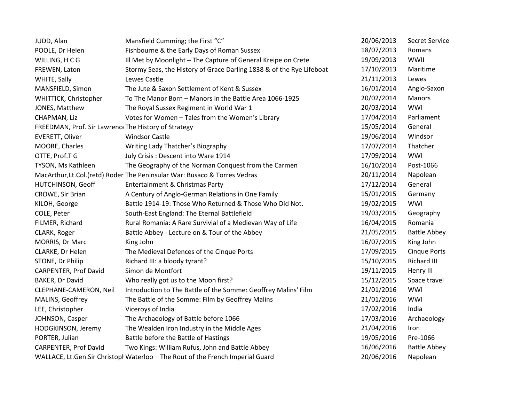| JUDD, Alan                                           | Mansfield Cumming; the First "C"                                               | 20/06/2013 | Secret Service      |
|------------------------------------------------------|--------------------------------------------------------------------------------|------------|---------------------|
| POOLE, Dr Helen                                      | Fishbourne & the Early Days of Roman Sussex                                    | 18/07/2013 | Romans              |
| WILLING, HCG                                         | Ill Met by Moonlight - The Capture of General Kreipe on Crete                  | 19/09/2013 | WWII                |
| FREWEN, Laton                                        | Stormy Seas, the History of Grace Darling 1838 & of the Rye Lifeboat           | 17/10/2013 | Maritime            |
| WHITE, Sally                                         | Lewes Castle                                                                   | 21/11/2013 | Lewes               |
| MANSFIELD, Simon                                     | The Jute & Saxon Settlement of Kent & Sussex                                   | 16/01/2014 | Anglo-Saxon         |
| WHITTICK, Christopher                                | To The Manor Born - Manors in the Battle Area 1066-1925                        | 20/02/2014 | Manors              |
| JONES, Matthew                                       | The Royal Sussex Regiment in World War 1                                       | 20/03/2014 | WWI                 |
| CHAPMAN, Liz                                         | Votes for Women - Tales from the Women's Library                               | 17/04/2014 | Parliament          |
| FREEDMAN, Prof. Sir Lawrence The History of Strategy |                                                                                | 15/05/2014 | General             |
| EVERETT, Oliver                                      | <b>Windsor Castle</b>                                                          | 19/06/2014 | Windsor             |
| MOORE, Charles                                       | Writing Lady Thatcher's Biography                                              | 17/07/2014 | Thatcher            |
| OTTE, Prof.T G                                       | July Crisis : Descent into Ware 1914                                           | 17/09/2014 | WWI                 |
| TYSON, Ms Kathleen                                   | The Geography of the Norman Conquest from the Carmen                           | 16/10/2014 | Post-1066           |
|                                                      | MacArthur, Lt.Col. (retd) Roder The Peninsular War: Busaco & Torres Vedras     | 20/11/2014 | Napolean            |
| HUTCHINSON, Geoff                                    | Entertainment & Christmas Party                                                | 17/12/2014 | General             |
| CROWE, Sir Brian                                     | A Century of Anglo-German Relations in One Family                              | 15/01/2015 | Germany             |
| KILOH, George                                        | Battle 1914-19: Those Who Returned & Those Who Did Not.                        | 19/02/2015 | WWI                 |
| COLE, Peter                                          | South-East England: The Eternal Battlefield                                    | 19/03/2015 | Geography           |
| FILMER, Richard                                      | Rural Romania: A Rare Survivial of a Medievan Way of Life                      | 16/04/2015 | Romania             |
| CLARK, Roger                                         | Battle Abbey - Lecture on & Tour of the Abbey                                  | 21/05/2015 | <b>Battle Abbey</b> |
| MORRIS, Dr Marc                                      | King John                                                                      | 16/07/2015 | King John           |
| CLARKE, Dr Helen                                     | The Medieval Defences of the Cinque Ports                                      | 17/09/2015 | <b>Cinque Ports</b> |
| STONE, Dr Philip                                     | Richard III: a bloody tyrant?                                                  | 15/10/2015 | Richard III         |
| <b>CARPENTER, Prof David</b>                         | Simon de Montfort                                                              | 19/11/2015 | Henry III           |
| BAKER, Dr David                                      | Who really got us to the Moon first?                                           | 15/12/2015 | Space travel        |
| CLEPHANE-CAMERON, Neil                               | Introduction to The Battle of the Somme: Geoffrey Malins' Film                 | 21/01/2016 | WWI                 |
| MALINS, Geoffrey                                     | The Battle of the Somme: Film by Geoffrey Malins                               | 21/01/2016 | WWI                 |
| LEE, Christopher                                     | Viceroys of India                                                              | 17/02/2016 | India               |
| JOHNSON, Casper                                      | The Archaeology of Battle before 1066                                          | 17/03/2016 | Archaeology         |
| HODGKINSON, Jeremy                                   | The Wealden Iron Industry in the Middle Ages                                   | 21/04/2016 | Iron                |
| PORTER, Julian                                       | Battle before the Battle of Hastings                                           | 19/05/2016 | Pre-1066            |
| <b>CARPENTER, Prof David</b>                         | Two Kings: William Rufus, John and Battle Abbey                                | 16/06/2016 | <b>Battle Abbey</b> |
|                                                      | WALLACE, Lt.Gen.Sir Christopl Waterloo - The Rout of the French Imperial Guard | 20/06/2016 | Napolean            |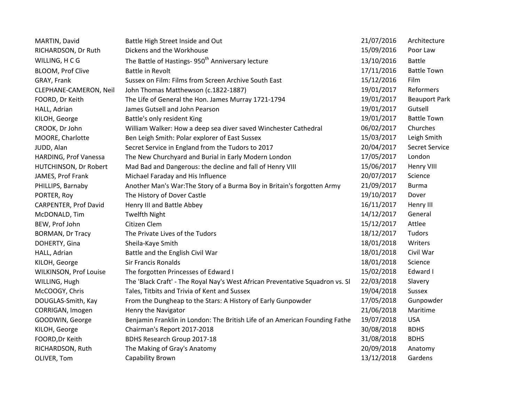| MARTIN, David           | Battle High Street Inside and Out                                             | 21/07/2016 | Architecture         |
|-------------------------|-------------------------------------------------------------------------------|------------|----------------------|
| RICHARDSON, Dr Ruth     | Dickens and the Workhouse                                                     | 15/09/2016 | Poor Law             |
| WILLING, HCG            | The Battle of Hastings- 950 <sup>th</sup> Anniversary lecture                 | 13/10/2016 | <b>Battle</b>        |
| BLOOM, Prof Clive       | Battle in Revolt                                                              | 17/11/2016 | <b>Battle Town</b>   |
| GRAY, Frank             | Sussex on Film: Films from Screen Archive South East                          | 15/12/2016 | Film                 |
| CLEPHANE-CAMERON, Neil  | John Thomas Matthewson (c.1822-1887)                                          | 19/01/2017 | Reformers            |
| FOORD, Dr Keith         | The Life of General the Hon. James Murray 1721-1794                           | 19/01/2017 | <b>Beauport Park</b> |
| HALL, Adrian            | James Gutsell and John Pearson                                                | 19/01/2017 | Gutsell              |
| KILOH, George           | Battle's only resident King                                                   | 19/01/2017 | <b>Battle Town</b>   |
| CROOK, Dr John          | William Walker: How a deep sea diver saved Winchester Cathedral               | 06/02/2017 | Churches             |
| MOORE, Charlotte        | Ben Leigh Smith: Polar explorer of East Sussex                                | 15/03/2017 | Leigh Smith          |
| JUDD, Alan              | Secret Service in England from the Tudors to 2017                             | 20/04/2017 | Secret Service       |
| HARDING, Prof Vanessa   | The New Churchyard and Burial in Early Modern London                          | 17/05/2017 | London               |
| HUTCHINSON, Dr Robert   | Mad Bad and Dangerous: the decline and fall of Henry VIII                     | 15/06/2017 | Henry VIII           |
| JAMES, Prof Frank       | Michael Faraday and His Influence                                             | 20/07/2017 | Science              |
| PHILLIPS, Barnaby       | Another Man's War: The Story of a Burma Boy in Britain's forgotten Army       | 21/09/2017 | <b>Burma</b>         |
| PORTER, Roy             | The History of Dover Castle                                                   | 19/10/2017 | Dover                |
| CARPENTER, Prof David   | Henry III and Battle Abbey                                                    | 16/11/2017 | Henry III            |
| McDONALD, Tim           | <b>Twelfth Night</b>                                                          | 14/12/2017 | General              |
| BEW, Prof John          | Citizen Clem                                                                  | 15/12/2017 | Attlee               |
| <b>BORMAN, Dr Tracy</b> | The Private Lives of the Tudors                                               | 18/12/2017 | Tudors               |
| DOHERTY, Gina           | Sheila-Kaye Smith                                                             | 18/01/2018 | Writers              |
| HALL, Adrian            | Battle and the English Civil War                                              | 18/01/2018 | Civil War            |
| KILOH, George           | <b>Sir Francis Ronalds</b>                                                    | 18/01/2018 | Science              |
| WILKINSON, Prof Louise  | The forgotten Princesses of Edward I                                          | 15/02/2018 | Edward I             |
| WILLING, Hugh           | The 'Black Craft' - The Royal Nay's West African Preventative Squadron vs. Sl | 22/03/2018 | Slavery              |
| McCOOGY, Chris          | Tales, Titbits and Trivia of Kent and Sussex                                  | 19/04/2018 | Sussex               |
| DOUGLAS-Smith, Kay      | From the Dungheap to the Stars: A History of Early Gunpowder                  | 17/05/2018 | Gunpowder            |
| CORRIGAN, Imogen        | Henry the Navigator                                                           | 21/06/2018 | Maritime             |
| GOODWIN, George         | Benjamin Franklin in London: The British Life of an American Founding Fathe   | 19/07/2018 | <b>USA</b>           |
| KILOH, George           | Chairman's Report 2017-2018                                                   | 30/08/2018 | <b>BDHS</b>          |
| FOORD, Dr Keith         | BDHS Research Group 2017-18                                                   | 31/08/2018 | <b>BDHS</b>          |
| RICHARDSON, Ruth        | The Making of Gray's Anatomy                                                  | 20/09/2018 | Anatomy              |
| OLIVER, Tom             | Capability Brown                                                              | 13/12/2018 | Gardens              |
|                         |                                                                               |            |                      |